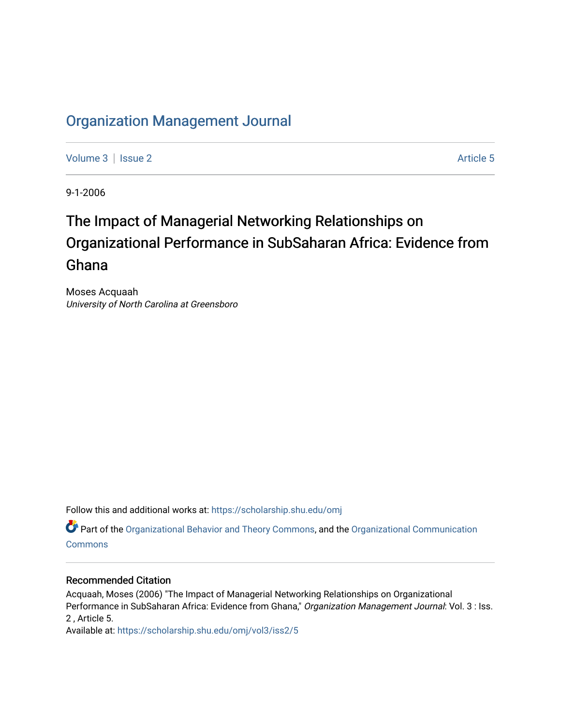# [Organization Management Journal](https://scholarship.shu.edu/omj)

[Volume 3](https://scholarship.shu.edu/omj/vol3) | [Issue 2](https://scholarship.shu.edu/omj/vol3/iss2) Article 5

9-1-2006

# The Impact of Managerial Networking Relationships on Organizational Performance in SubSaharan Africa: Evidence from Ghana

Moses Acquaah University of North Carolina at Greensboro

Follow this and additional works at: [https://scholarship.shu.edu/omj](https://scholarship.shu.edu/omj?utm_source=scholarship.shu.edu%2Fomj%2Fvol3%2Fiss2%2F5&utm_medium=PDF&utm_campaign=PDFCoverPages) 

Part of the [Organizational Behavior and Theory Commons,](http://network.bepress.com/hgg/discipline/639?utm_source=scholarship.shu.edu%2Fomj%2Fvol3%2Fiss2%2F5&utm_medium=PDF&utm_campaign=PDFCoverPages) and the [Organizational Communication](http://network.bepress.com/hgg/discipline/335?utm_source=scholarship.shu.edu%2Fomj%2Fvol3%2Fiss2%2F5&utm_medium=PDF&utm_campaign=PDFCoverPages) **[Commons](http://network.bepress.com/hgg/discipline/335?utm_source=scholarship.shu.edu%2Fomj%2Fvol3%2Fiss2%2F5&utm_medium=PDF&utm_campaign=PDFCoverPages)** 

### Recommended Citation

Acquaah, Moses (2006) "The Impact of Managerial Networking Relationships on Organizational Performance in SubSaharan Africa: Evidence from Ghana," Organization Management Journal: Vol. 3 : Iss. 2 , Article 5.

Available at: [https://scholarship.shu.edu/omj/vol3/iss2/5](https://scholarship.shu.edu/omj/vol3/iss2/5?utm_source=scholarship.shu.edu%2Fomj%2Fvol3%2Fiss2%2F5&utm_medium=PDF&utm_campaign=PDFCoverPages)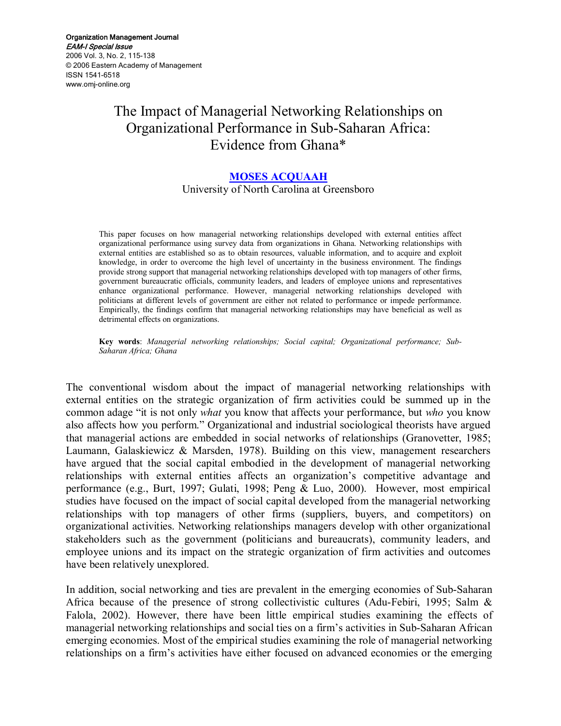# The Impact of Managerial Networking Relationships on Organizational Performance in Sub-Saharan Africa: Evidence from Ghana\*

#### **[MOSES ACQUAAH](mailto:acquaah@uncg.edu)**

University of North Carolina at Greensboro

This paper focuses on how managerial networking relationships developed with external entities affect organizational performance using survey data from organizations in Ghana. Networking relationships with external entities are established so as to obtain resources, valuable information, and to acquire and exploit knowledge, in order to overcome the high level of uncertainty in the business environment. The findings provide strong support that managerial networking relationships developed with top managers of other firms, government bureaucratic officials, community leaders, and leaders of employee unions and representatives enhance organizational performance. However, managerial networking relationships developed with politicians at different levels of government are either not related to performance or impede performance. Empirically, the findings confirm that managerial networking relationships may have beneficial as well as detrimental effects on organizations.

**Key words**: *Managerial networking relationships; Social capital; Organizational performance; Sub-Saharan Africa; Ghana*

The conventional wisdom about the impact of managerial networking relationships with external entities on the strategic organization of firm activities could be summed up in the common adage "it is not only *what* you know that affects your performance, but *who* you know also affects how you perform." Organizational and industrial sociological theorists have argued that managerial actions are embedded in social networks of relationships (Granovetter, 1985; Laumann, Galaskiewicz & Marsden, 1978). Building on this view, management researchers have argued that the social capital embodied in the development of managerial networking relationships with external entities affects an organization's competitive advantage and performance (e.g., Burt, 1997; Gulati, 1998; Peng & Luo, 2000). However, most empirical studies have focused on the impact of social capital developed from the managerial networking relationships with top managers of other firms (suppliers, buyers, and competitors) on organizational activities. Networking relationships managers develop with other organizational stakeholders such as the government (politicians and bureaucrats), community leaders, and employee unions and its impact on the strategic organization of firm activities and outcomes have been relatively unexplored.

In addition, social networking and ties are prevalent in the emerging economies of Sub-Saharan Africa because of the presence of strong collectivistic cultures (Adu-Febiri, 1995; Salm  $\&$ Falola, 2002). However, there have been little empirical studies examining the effects of managerial networking relationships and social ties on a firm's activities in Sub-Saharan African emerging economies. Most of the empirical studies examining the role of managerial networking relationships on a firm's activities have either focused on advanced economies or the emerging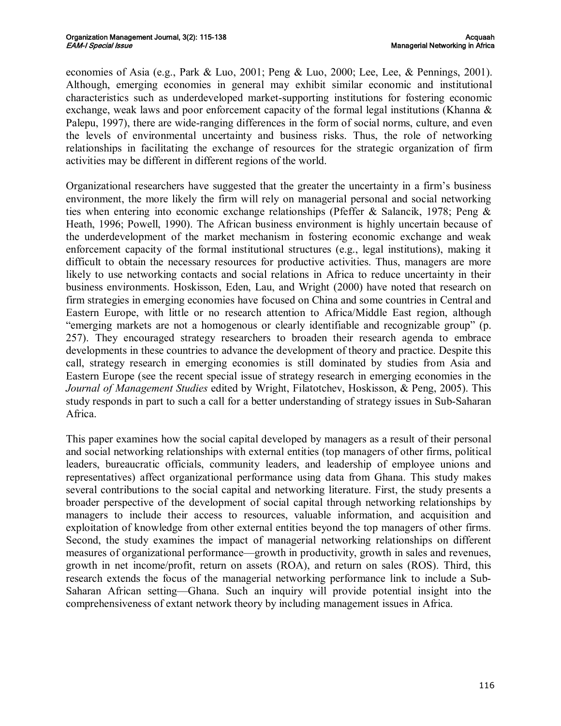economies of Asia (e.g., Park & Luo, 2001; Peng & Luo, 2000; Lee, Lee, & Pennings, 2001). Although, emerging economies in general may exhibit similar economic and institutional characteristics such as underdeveloped market-supporting institutions for fostering economic exchange, weak laws and poor enforcement capacity of the formal legal institutions (Khanna & Palepu, 1997), there are wide-ranging differences in the form of social norms, culture, and even the levels of environmental uncertainty and business risks. Thus, the role of networking relationships in facilitating the exchange of resources for the strategic organization of firm activities may be different in different regions of the world.

Organizational researchers have suggested that the greater the uncertainty in a firm's business environment, the more likely the firm will rely on managerial personal and social networking ties when entering into economic exchange relationships (Pfeffer & Salancik, 1978; Peng & Heath, 1996; Powell, 1990). The African business environment is highly uncertain because of the underdevelopment of the market mechanism in fostering economic exchange and weak enforcement capacity of the formal institutional structures (e.g., legal institutions), making it difficult to obtain the necessary resources for productive activities. Thus, managers are more likely to use networking contacts and social relations in Africa to reduce uncertainty in their business environments. Hoskisson, Eden, Lau, and Wright (2000) have noted that research on firm strategies in emerging economies have focused on China and some countries in Central and Eastern Europe, with little or no research attention to Africa/Middle East region, although "emerging markets are not a homogenous or clearly identifiable and recognizable group" (p. 257). They encouraged strategy researchers to broaden their research agenda to embrace developments in these countries to advance the development of theory and practice. Despite this call, strategy research in emerging economies is still dominated by studies from Asia and Eastern Europe (see the recent special issue of strategy research in emerging economies in the *Journal of Management Studies* edited by Wright, Filatotchev, Hoskisson, & Peng, 2005). This study responds in part to such a call for a better understanding of strategy issues in Sub-Saharan Africa.

This paper examines how the social capital developed by managers as a result of their personal and social networking relationships with external entities (top managers of other firms, political leaders, bureaucratic officials, community leaders, and leadership of employee unions and representatives) affect organizational performance using data from Ghana. This study makes several contributions to the social capital and networking literature. First, the study presents a broader perspective of the development of social capital through networking relationships by managers to include their access to resources, valuable information, and acquisition and exploitation of knowledge from other external entities beyond the top managers of other firms. Second, the study examines the impact of managerial networking relationships on different measures of organizational performance—growth in productivity, growth in sales and revenues, growth in net income/profit, return on assets (ROA), and return on sales (ROS). Third, this research extends the focus of the managerial networking performance link to include a Sub Saharan African setting—Ghana. Such an inquiry will provide potential insight into the comprehensiveness of extant network theory by including management issues in Africa.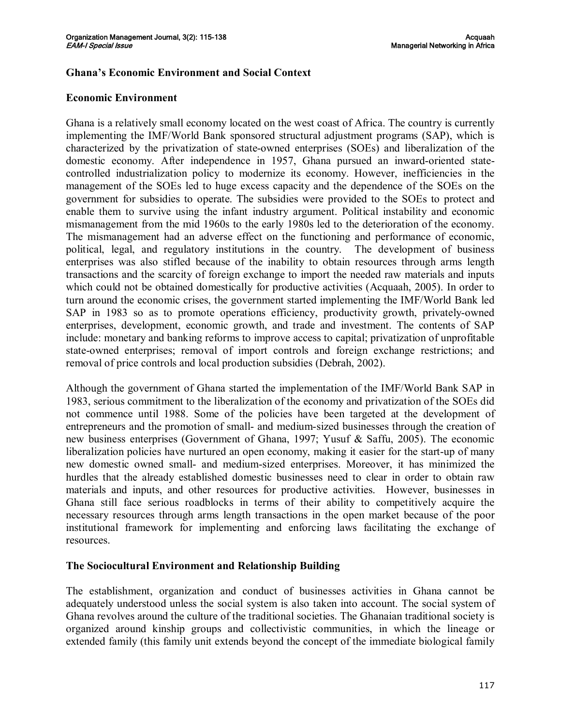### **Ghana's Economic Environment and Social Context**

### **Economic Environment**

Ghana is a relatively small economy located on the west coast of Africa. The country is currently implementing the IMF/World Bank sponsored structural adjustment programs (SAP), which is characterized by the privatization of stateowned enterprises (SOEs) and liberalization of the domestic economy. After independence in 1957, Ghana pursued an inward-oriented statecontrolled industrialization policy to modernize its economy. However, inefficiencies in the management of the SOEs led to huge excess capacity and the dependence of the SOEs on the government for subsidies to operate. The subsidies were provided to the SOEs to protect and enable them to survive using the infant industry argument. Political instability and economic mismanagement from the mid 1960s to the early 1980s led to the deterioration of the economy. The mismanagement had an adverse effect on the functioning and performance of economic, political, legal, and regulatory institutions in the country. The development of business enterprises was also stifled because of the inability to obtain resources through arms length transactions and the scarcity of foreign exchange to import the needed raw materials and inputs which could not be obtained domestically for productive activities (Acquaah, 2005). In order to turn around the economic crises, the government started implementing the IMF/World Bank led SAP in 1983 so as to promote operations efficiency, productivity growth, privately-owned enterprises, development, economic growth, and trade and investment. The contents of SAP include: monetary and banking reforms to improve access to capital; privatization of unprofitable state-owned enterprises; removal of import controls and foreign exchange restrictions; and removal of price controls and local production subsidies (Debrah, 2002).

Although the government of Ghana started the implementation of the IMF/World Bank SAP in 1983, serious commitment to the liberalization of the economy and privatization of the SOEs did not commence until 1988. Some of the policies have been targeted at the development of entrepreneurs and the promotion of small- and medium-sized businesses through the creation of new business enterprises (Government of Ghana, 1997; Yusuf & Saffu, 2005). The economic liberalization policies have nurtured an open economy, making it easier for the start-up of many new domestic owned small- and medium-sized enterprises. Moreover, it has minimized the hurdles that the already established domestic businesses need to clear in order to obtain raw materials and inputs, and other resources for productive activities. However, businesses in Ghana still face serious roadblocks in terms of their ability to competitively acquire the necessary resources through arms length transactions in the open market because of the poor institutional framework for implementing and enforcing laws facilitating the exchange of resources.

#### **The Sociocultural Environment and Relationship Building**

The establishment, organization and conduct of businesses activities in Ghana cannot be adequately understood unless the social system is also taken into account. The social system of Ghana revolves around the culture of the traditional societies. The Ghanaian traditional society is organized around kinship groups and collectivistic communities, in which the lineage or extended family (this family unit extends beyond the concept of the immediate biological family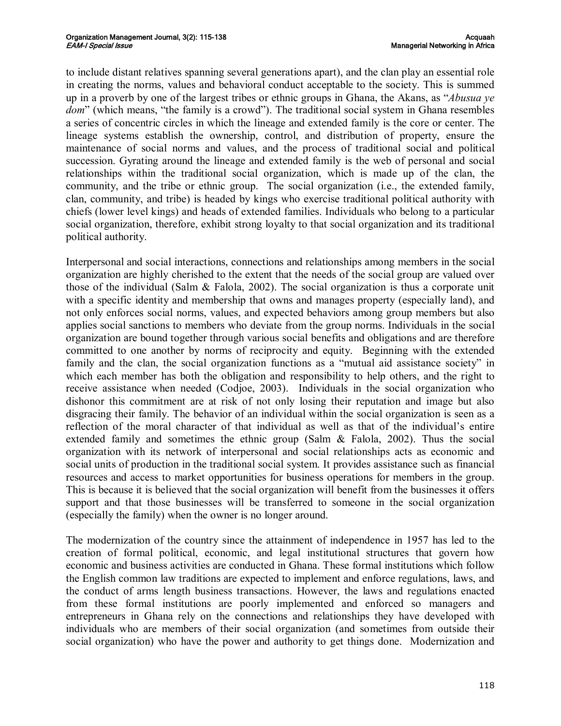to include distant relatives spanning several generations apart), and the clan play an essential role in creating the norms, values and behavioral conduct acceptable to the society. This is summed up in a proverb by one of the largest tribes or ethnic groups in Ghana, the Akans, as "*Abusua ye dom*" (which means, "the family is a crowd"). The traditional social system in Ghana resembles a series of concentric circles in which the lineage and extended family is the core or center. The lineage systems establish the ownership, control, and distribution of property, ensure the maintenance of social norms and values, and the process of traditional social and political succession. Gyrating around the lineage and extended family is the web of personal and social relationships within the traditional social organization, which is made up of the clan, the community, and the tribe or ethnic group. The social organization (i.e., the extended family, clan, community, and tribe) is headed by kings who exercise traditional political authority with chiefs (lower level kings) and heads of extended families. Individuals who belong to a particular social organization, therefore, exhibit strong loyalty to that social organization and its traditional political authority.

Interpersonal and social interactions, connections and relationships among members in the social organization are highly cherished to the extent that the needs of the social group are valued over those of the individual (Salm & Falola, 2002). The social organization is thus a corporate unit with a specific identity and membership that owns and manages property (especially land), and not only enforces social norms, values, and expected behaviors among group members but also applies social sanctions to members who deviate from the group norms. Individuals in the social organization are bound together through various social benefits and obligations and are therefore committed to one another by norms of reciprocity and equity. Beginning with the extended family and the clan, the social organization functions as a "mutual aid assistance society" in which each member has both the obligation and responsibility to help others, and the right to receive assistance when needed (Codjoe, 2003). Individuals in the social organization who dishonor this commitment are at risk of not only losing their reputation and image but also disgracing their family. The behavior of an individual within the social organization is seen as a reflection of the moral character of that individual as well as that of the individual's entire extended family and sometimes the ethnic group (Salm & Falola, 2002). Thus the social organization with its network of interpersonal and social relationships acts as economic and social units of production in the traditional social system. It provides assistance such as financial resources and access to market opportunities for business operations for members in the group. This is because it is believed that the social organization will benefit from the businesses it offers support and that those businesses will be transferred to someone in the social organization (especially the family) when the owner is no longer around.

The modernization of the country since the attainment of independence in 1957 has led to the creation of formal political, economic, and legal institutional structures that govern how economic and business activities are conducted in Ghana. These formal institutions which follow the English common law traditions are expected to implement and enforce regulations, laws, and the conduct of arms length business transactions. However, the laws and regulations enacted from these formal institutions are poorly implemented and enforced so managers and entrepreneurs in Ghana rely on the connections and relationships they have developed with individuals who are members of their social organization (and sometimes from outside their social organization) who have the power and authority to get things done. Modernization and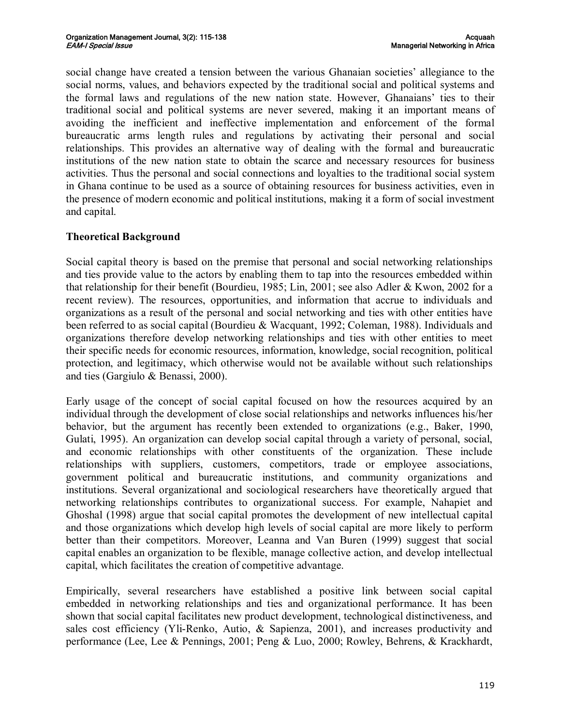social change have created a tension between the various Ghanaian societies' allegiance to the social norms, values, and behaviors expected by the traditional social and political systems and the formal laws and regulations of the new nation state. However, Ghanaians' ties to their traditional social and political systems are never severed, making it an important means of avoiding the inefficient and ineffective implementation and enforcement of the formal bureaucratic arms length rules and regulations by activating their personal and social relationships. This provides an alternative way of dealing with the formal and bureaucratic institutions of the new nation state to obtain the scarce and necessary resources for business activities. Thus the personal and social connections and loyalties to the traditional social system in Ghana continue to be used as a source of obtaining resources for business activities, even in the presence of modern economic and political institutions, making it a form of social investment and capital.

# **Theoretical Background**

Social capital theory is based on the premise that personal and social networking relationships and ties provide value to the actors by enabling them to tap into the resources embedded within that relationship for their benefit (Bourdieu, 1985; Lin, 2001; see also Adler & Kwon, 2002 for a recent review). The resources, opportunities, and information that accrue to individuals and organizations as a result of the personal and social networking and ties with other entities have been referred to as social capital (Bourdieu & Wacquant, 1992; Coleman, 1988). Individuals and organizations therefore develop networking relationships and ties with other entities to meet their specific needs for economic resources, information, knowledge, social recognition, political protection, and legitimacy, which otherwise would not be available without such relationships and ties (Gargiulo & Benassi, 2000).

Early usage of the concept of social capital focused on how the resources acquired by an individual through the development of close social relationships and networks influences his/her behavior, but the argument has recently been extended to organizations (e.g., Baker, 1990, Gulati, 1995). An organization can develop social capital through a variety of personal, social, and economic relationships with other constituents of the organization. These include relationships with suppliers, customers, competitors, trade or employee associations, government political and bureaucratic institutions, and community organizations and institutions. Several organizational and sociological researchers have theoretically argued that networking relationships contributes to organizational success. For example, Nahapiet and Ghoshal (1998) argue that social capital promotes the development of new intellectual capital and those organizations which develop high levels of social capital are more likely to perform better than their competitors. Moreover, Leanna and Van Buren (1999) suggest that social capital enables an organization to be flexible, manage collective action, and develop intellectual capital, which facilitates the creation of competitive advantage.

Empirically, several researchers have established a positive link between social capital embedded in networking relationships and ties and organizational performance. It has been shown that social capital facilitates new product development, technological distinctiveness, and sales cost efficiency (Yli-Renko, Autio,  $\&$  Sapienza, 2001), and increases productivity and performance (Lee, Lee & Pennings, 2001; Peng & Luo, 2000; Rowley, Behrens, & Krackhardt,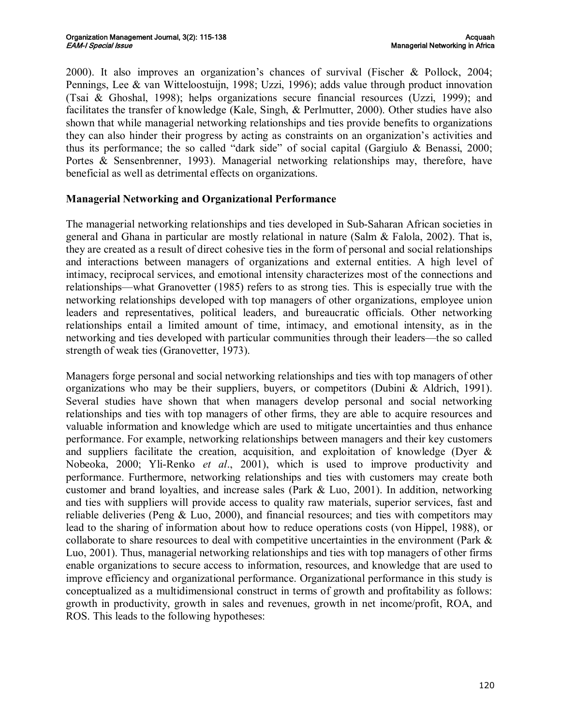2000). It also improves an organization's chances of survival (Fischer & Pollock, 2004; Pennings, Lee & van Witteloostuijn, 1998; Uzzi, 1996); adds value through product innovation (Tsai & Ghoshal, 1998); helps organizations secure financial resources (Uzzi, 1999); and facilitates the transfer of knowledge (Kale, Singh, & Perlmutter, 2000). Other studies have also shown that while managerial networking relationships and ties provide benefits to organizations they can also hinder their progress by acting as constraints on an organization's activities and thus its performance; the so called "dark side" of social capital (Gargiulo & Benassi, 2000; Portes & Sensenbrenner, 1993). Managerial networking relationships may, therefore, have beneficial as well as detrimental effects on organizations.

# **Managerial Networking and Organizational Performance**

The managerial networking relationships and ties developed in Sub-Saharan African societies in general and Ghana in particular are mostly relational in nature (Salm & Falola, 2002). That is, they are created as a result of direct cohesive ties in the form of personal and social relationships and interactions between managers of organizations and external entities. A high level of intimacy, reciprocal services, and emotional intensity characterizes most of the connections and relationships—what Granovetter (1985) refers to as strong ties. This is especially true with the networking relationships developed with top managers of other organizations, employee union leaders and representatives, political leaders, and bureaucratic officials. Other networking relationships entail a limited amount of time, intimacy, and emotional intensity, as in the networking and ties developed with particular communities through their leaders—the so called strength of weak ties (Granovetter, 1973).

Managers forge personal and social networking relationships and ties with top managers of other organizations who may be their suppliers, buyers, or competitors (Dubini & Aldrich, 1991). Several studies have shown that when managers develop personal and social networking relationships and ties with top managers of other firms, they are able to acquire resources and valuable information and knowledge which are used to mitigate uncertainties and thus enhance performance. For example, networking relationships between managers and their key customers and suppliers facilitate the creation, acquisition, and exploitation of knowledge (Dyer  $\&$ Nobeoka, 2000; Yli-Renko *et al.*, 2001), which is used to improve productivity and performance. Furthermore, networking relationships and ties with customers may create both customer and brand loyalties, and increase sales (Park  $\&$  Luo, 2001). In addition, networking and ties with suppliers will provide access to quality raw materials, superior services, fast and reliable deliveries (Peng & Luo, 2000), and financial resources; and ties with competitors may lead to the sharing of information about how to reduce operations costs (von Hippel, 1988), or collaborate to share resources to deal with competitive uncertainties in the environment (Park & Luo, 2001). Thus, managerial networking relationships and ties with top managers of other firms enable organizations to secure access to information, resources, and knowledge that are used to improve efficiency and organizational performance. Organizational performance in this study is conceptualized as a multidimensional construct in terms of growth and profitability as follows: growth in productivity, growth in sales and revenues, growth in net income/profit, ROA, and ROS. This leads to the following hypotheses: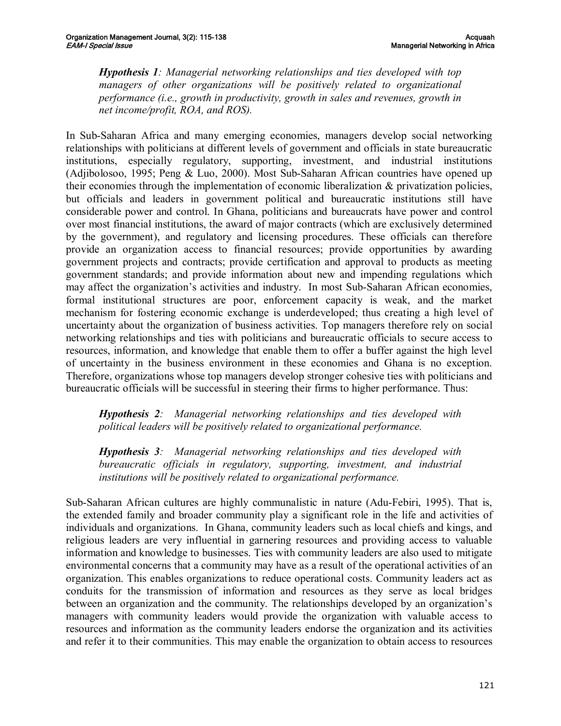*Hypothesis 1: Managerial networking relationships and ties developed with top managers of other organizations will be positively related to organizational performance (i.e., growth in productivity, growth in sales and revenues, growth in net income/profit, ROA, and ROS).*

In Sub-Saharan Africa and many emerging economies, managers develop social networking relationships with politicians at different levels of government and officials in state bureaucratic institutions, especially regulatory, supporting, investment, and industrial institutions (Adjibolosoo, 1995; Peng  $& Luo, 2000$ ). Most Sub-Saharan African countries have opened up their economies through the implementation of economic liberalization & privatization policies, but officials and leaders in government political and bureaucratic institutions still have considerable power and control. In Ghana, politicians and bureaucrats have power and control over most financial institutions, the award of major contracts (which are exclusively determined by the government), and regulatory and licensing procedures. These officials can therefore provide an organization access to financial resources; provide opportunities by awarding government projects and contracts; provide certification and approval to products as meeting government standards; and provide information about new and impending regulations which may affect the organization's activities and industry. In most Sub-Saharan African economies, formal institutional structures are poor, enforcement capacity is weak, and the market mechanism for fostering economic exchange is underdeveloped; thus creating a high level of uncertainty about the organization of business activities. Top managers therefore rely on social networking relationships and ties with politicians and bureaucratic officials to secure access to resources, information, and knowledge that enable them to offer a buffer against the high level of uncertainty in the business environment in these economies and Ghana is no exception. Therefore, organizations whose top managers develop stronger cohesive ties with politicians and bureaucratic officials will be successful in steering their firms to higher performance. Thus:

*Hypothesis 2: Managerial networking relationships and ties developed with political leaders will be positively related to organizational performance.*

*Hypothesis 3: Managerial networking relationships and ties developed with bureaucratic officials in regulatory, supporting, investment, and industrial institutions will be positively related to organizational performance.*

Sub-Saharan African cultures are highly communalistic in nature (Adu-Febiri, 1995). That is, the extended family and broader community play a significant role in the life and activities of individuals and organizations. In Ghana, community leaders such as local chiefs and kings, and religious leaders are very influential in garnering resources and providing access to valuable information and knowledge to businesses. Ties with community leaders are also used to mitigate environmental concerns that a community may have as a result of the operational activities of an organization. This enables organizations to reduce operational costs. Community leaders act as conduits for the transmission of information and resources as they serve as local bridges between an organization and the community. The relationships developed by an organization's managers with community leaders would provide the organization with valuable access to resources and information as the community leaders endorse the organization and its activities and refer it to their communities. This may enable the organization to obtain access to resources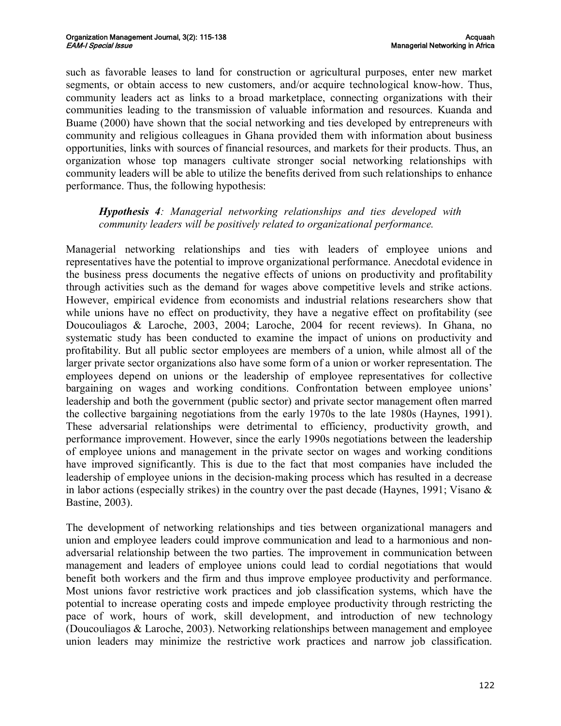such as favorable leases to land for construction or agricultural purposes, enter new market segments, or obtain access to new customers, and/or acquire technological know-how. Thus, community leaders act as links to a broad marketplace, connecting organizations with their communities leading to the transmission of valuable information and resources. Kuanda and Buame (2000) have shown that the social networking and ties developed by entrepreneurs with community and religious colleagues in Ghana provided them with information about business opportunities, links with sources of financial resources, and markets for their products. Thus, an organization whose top managers cultivate stronger social networking relationships with community leaders will be able to utilize the benefits derived from such relationships to enhance performance. Thus, the following hypothesis:

## *Hypothesis 4: Managerial networking relationships and ties developed with community leaders will be positively related to organizational performance.*

Managerial networking relationships and ties with leaders of employee unions and representatives have the potential to improve organizational performance. Anecdotal evidence in the business press documents the negative effects of unions on productivity and profitability through activities such as the demand for wages above competitive levels and strike actions. However, empirical evidence from economists and industrial relations researchers show that while unions have no effect on productivity, they have a negative effect on profitability (see Doucouliagos & Laroche, 2003, 2004; Laroche, 2004 for recent reviews). In Ghana, no systematic study has been conducted to examine the impact of unions on productivity and profitability. But all public sector employees are members of a union, while almost all of the larger private sector organizations also have some form of a union or worker representation. The employees depend on unions or the leadership of employee representatives for collective bargaining on wages and working conditions. Confrontation between employee unions' leadership and both the government (public sector) and private sector management often marred the collective bargaining negotiations from the early 1970s to the late 1980s (Haynes, 1991). These adversarial relationships were detrimental to efficiency, productivity growth, and performance improvement. However, since the early 1990s negotiations between the leadership of employee unions and management in the private sector on wages and working conditions have improved significantly. This is due to the fact that most companies have included the leadership of employee unions in the decision-making process which has resulted in a decrease in labor actions (especially strikes) in the country over the past decade (Haynes, 1991; Visano  $\&$ Bastine, 2003).

The development of networking relationships and ties between organizational managers and union and employee leaders could improve communication and lead to a harmonious and non adversarial relationship between the two parties. The improvement in communication between management and leaders of employee unions could lead to cordial negotiations that would benefit both workers and the firm and thus improve employee productivity and performance. Most unions favor restrictive work practices and job classification systems, which have the potential to increase operating costs and impede employee productivity through restricting the pace of work, hours of work, skill development, and introduction of new technology (Doucouliagos & Laroche, 2003). Networking relationships between management and employee union leaders may minimize the restrictive work practices and narrow job classification.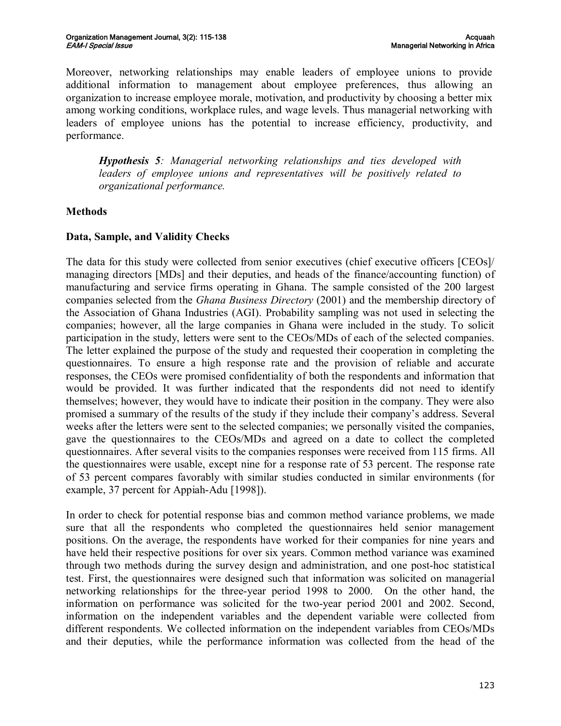Moreover, networking relationships may enable leaders of employee unions to provide additional information to management about employee preferences, thus allowing an organization to increase employee morale, motivation, and productivity by choosing a better mix among working conditions, workplace rules, and wage levels. Thus managerial networking with leaders of employee unions has the potential to increase efficiency, productivity, and performance.

*Hypothesis 5: Managerial networking relationships and ties developed with leaders of employee unions and representatives will be positively related to organizational performance.*

# **Methods**

# **Data, Sample, and Validity Checks**

The data for this study were collected from senior executives (chief executive officers [CEOs]/ managing directors [MDs] and their deputies, and heads of the finance/accounting function) of manufacturing and service firms operating in Ghana. The sample consisted of the 200 largest companies selected from the *Ghana Business Directory* (2001) and the membership directory of the Association of Ghana Industries (AGI). Probability sampling was not used in selecting the companies; however, all the large companies in Ghana were included in the study. To solicit participation in the study, letters were sent to the CEOs/MDs of each of the selected companies. The letter explained the purpose of the study and requested their cooperation in completing the questionnaires. To ensure a high response rate and the provision of reliable and accurate responses, the CEOs were promised confidentiality of both the respondents and information that would be provided. It was further indicated that the respondents did not need to identify themselves; however, they would have to indicate their position in the company. They were also promised a summary of the results of the study if they include their company's address. Several weeks after the letters were sent to the selected companies; we personally visited the companies, gave the questionnaires to the CEOs/MDs and agreed on a date to collect the completed questionnaires. After several visits to the companies responses were received from 115 firms. All the questionnaires were usable, except nine for a response rate of 53 percent. The response rate of 53 percent compares favorably with similar studies conducted in similar environments (for example, 37 percent for Appiah-Adu [1998]).

In order to check for potential response bias and common method variance problems, we made sure that all the respondents who completed the questionnaires held senior management positions. On the average, the respondents have worked for their companies for nine years and have held their respective positions for over six years. Common method variance was examined through two methods during the survey design and administration, and one posthoc statistical test. First, the questionnaires were designed such that information was solicited on managerial networking relationships for the three-year period 1998 to 2000. On the other hand, the information on performance was solicited for the two-year period 2001 and 2002. Second, information on the independent variables and the dependent variable were collected from different respondents. We collected information on the independent variables from CEOs/MDs and their deputies, while the performance information was collected from the head of the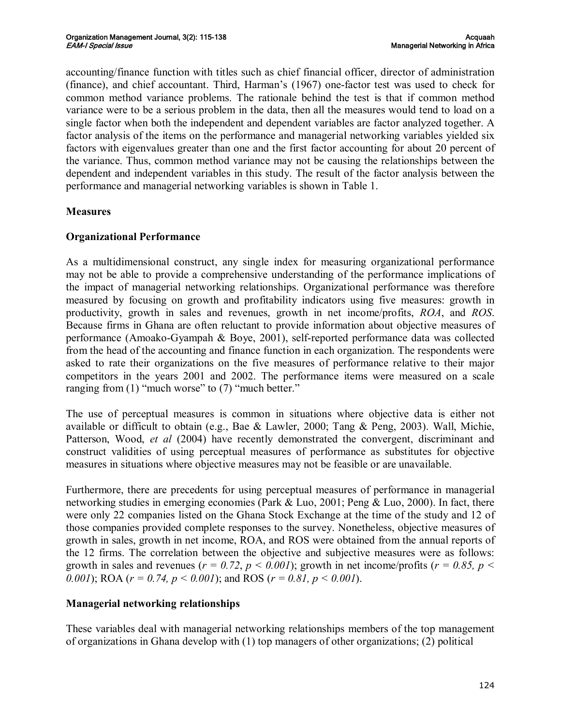accounting/finance function with titles such as chief financial officer, director of administration (finance), and chief accountant. Third, Harman's (1967) onefactor test was used to check for common method variance problems. The rationale behind the test is that if common method variance were to be a serious problem in the data, then all the measures would tend to load on a single factor when both the independent and dependent variables are factor analyzed together. A factor analysis of the items on the performance and managerial networking variables yielded six factors with eigenvalues greater than one and the first factor accounting for about 20 percent of the variance. Thus, common method variance may not be causing the relationships between the dependent and independent variables in this study. The result of the factor analysis between the performance and managerial networking variables is shown in Table 1.

# **Measures**

# **Organizational Performance**

As a multidimensional construct, any single index for measuring organizational performance may not be able to provide a comprehensive understanding of the performance implications of the impact of managerial networking relationships. Organizational performance was therefore measured by focusing on growth and profitability indicators using five measures: growth in productivity, growth in sales and revenues, growth in net income/profits, *ROA*, and *ROS*. Because firms in Ghana are often reluctant to provide information about objective measures of performance (Amoako-Gyampah  $\&$  Boye, 2001), self-reported performance data was collected from the head of the accounting and finance function in each organization. The respondents were asked to rate their organizations on the five measures of performance relative to their major competitors in the years 2001 and 2002. The performance items were measured on a scale ranging from (1) "much worse" to (7) "much better."

The use of perceptual measures is common in situations where objective data is either not available or difficult to obtain (e.g., Bae & Lawler, 2000; Tang & Peng, 2003). Wall, Michie, Patterson, Wood, *et al* (2004) have recently demonstrated the convergent, discriminant and construct validities of using perceptual measures of performance as substitutes for objective measures in situations where objective measures may not be feasible or are unavailable.

Furthermore, there are precedents for using perceptual measures of performance in managerial networking studies in emerging economies (Park & Luo, 2001; Peng & Luo, 2000). In fact, there were only 22 companies listed on the Ghana Stock Exchange at the time of the study and 12 of those companies provided complete responses to the survey. Nonetheless, objective measures of growth in sales, growth in net income, ROA, and ROS were obtained from the annual reports of the 12 firms. The correlation between the objective and subjective measures were as follows: growth in sales and revenues ( $r = 0.72$ ,  $p < 0.001$ ); growth in net income/profits ( $r = 0.85$ ,  $p <$ *0.001*; ROA ( $r = 0.74$ ,  $p < 0.001$ ); and ROS ( $r = 0.81$ ,  $p < 0.001$ ).

# **Managerial networking relationships**

These variables deal with managerial networking relationships members of the top management of organizations in Ghana develop with (1) top managers of other organizations; (2) political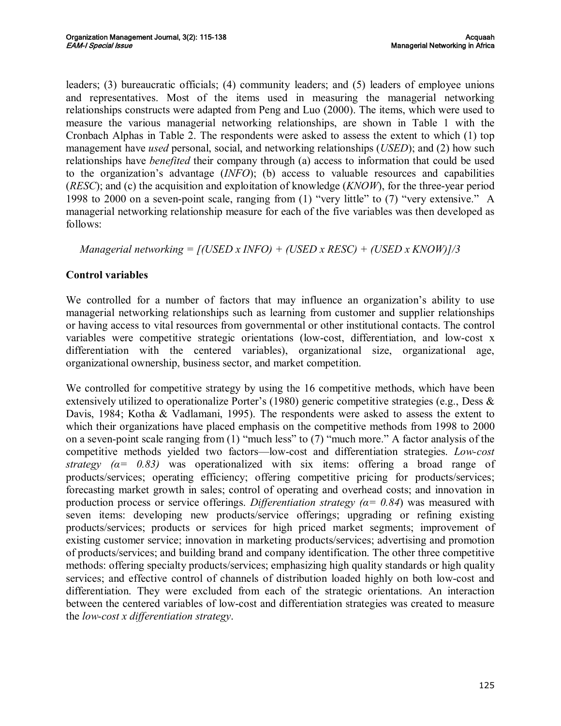leaders; (3) bureaucratic officials; (4) community leaders; and (5) leaders of employee unions and representatives. Most of the items used in measuring the managerial networking relationships constructs were adapted from Peng and Luo (2000). The items, which were used to measure the various managerial networking relationships, are shown in Table 1 with the Cronbach Alphas in Table 2. The respondents were asked to assess the extent to which (1) top management have *used* personal, social, and networking relationships (*USED*); and (2) how such relationships have *benefited* their company through (a) access to information that could be used to the organization's advantage (*INFO*); (b) access to valuable resources and capabilities (*RESC*); and (c) the acquisition and exploitation of knowledge (*KNOW*), for the three-year period 1998 to 2000 on a seven-point scale, ranging from  $(1)$  "very little" to  $(7)$  "very extensive." A managerial networking relationship measure for each of the five variables was then developed as follows:

*Managerial networking = [(USED x INFO) + (USED x RESC) + (USED x KNOW)]/3*

# **Control variables**

We controlled for a number of factors that may influence an organization's ability to use managerial networking relationships such as learning from customer and supplier relationships or having access to vital resources from governmental or other institutional contacts. The control variables were competitive strategic orientations (low-cost, differentiation, and low-cost x differentiation with the centered variables), organizational size, organizational age, organizational ownership, business sector, and market competition.

We controlled for competitive strategy by using the 16 competitive methods, which have been extensively utilized to operationalize Porter's (1980) generic competitive strategies (e.g., Dess & Davis, 1984; Kotha & Vadlamani, 1995). The respondents were asked to assess the extent to which their organizations have placed emphasis on the competitive methods from 1998 to 2000 on a seven-point scale ranging from  $(1)$  "much less" to  $(7)$  "much more." A factor analysis of the competitive methods vielded two factors—low-cost and differentiation strategies. *Low-cost strategy*  $(a= 0.83)$  was operationalized with six items: offering a broad range of products/services; operating efficiency; offering competitive pricing for products/services; forecasting market growth in sales; control of operating and overhead costs; and innovation in production process or service offerings. *Differentiation strategy*  $(a = 0.84)$  was measured with seven items: developing new products/service offerings; upgrading or refining existing products/services; products or services for high priced market segments; improvement of existing customer service; innovation in marketing products/services; advertising and promotion of products/services; and building brand and company identification. The other three competitive methods: offering specialty products/services; emphasizing high quality standards or high quality services; and effective control of channels of distribution loaded highly on both lowcost and differentiation. They were excluded from each of the strategic orientations. An interaction between the centered variables of low-cost and differentiation strategies was created to measure the *lowcost x differentiation strategy*.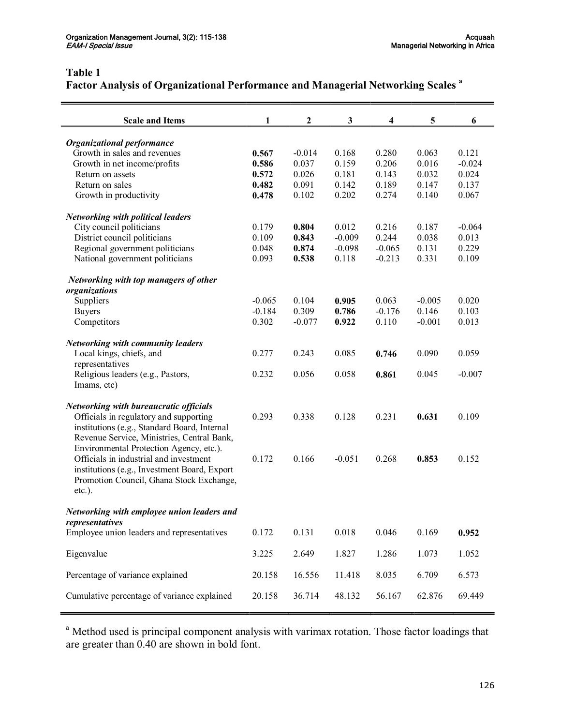# **Table 1**

# **Factor Analysis of Organizational Performance and Managerial Networking Scales <sup>a</sup>**

| <b>Scale and Items</b>                                                                  | 1        | $\boldsymbol{2}$ | $\mathbf{3}$ | 4        | 5        | 6        |
|-----------------------------------------------------------------------------------------|----------|------------------|--------------|----------|----------|----------|
|                                                                                         |          |                  |              |          |          |          |
| <b>Organizational performance</b><br>Growth in sales and revenues                       | 0.567    | $-0.014$         | 0.168        | 0.280    | 0.063    | 0.121    |
| Growth in net income/profits                                                            | 0.586    | 0.037            | 0.159        | 0.206    | 0.016    | $-0.024$ |
| Return on assets                                                                        | 0.572    | 0.026            | 0.181        | 0.143    | 0.032    | 0.024    |
| Return on sales                                                                         | 0.482    | 0.091            | 0.142        | 0.189    | 0.147    | 0.137    |
| Growth in productivity                                                                  | 0.478    | 0.102            | 0.202        | 0.274    | 0.140    | 0.067    |
| <b>Networking with political leaders</b>                                                |          |                  |              |          |          |          |
| City council politicians                                                                | 0.179    | 0.804            | 0.012        | 0.216    | 0.187    | $-0.064$ |
| District council politicians                                                            | 0.109    | 0.843            | $-0.009$     | 0.244    | 0.038    | 0.013    |
| Regional government politicians                                                         | 0.048    | 0.874            | $-0.098$     | $-0.065$ | 0.131    | 0.229    |
| National government politicians                                                         | 0.093    | 0.538            | 0.118        | $-0.213$ | 0.331    | 0.109    |
| Networking with top managers of other                                                   |          |                  |              |          |          |          |
| organizations                                                                           |          |                  |              |          |          |          |
| Suppliers                                                                               | $-0.065$ | 0.104            | 0.905        | 0.063    | $-0.005$ | 0.020    |
| <b>Buyers</b>                                                                           | $-0.184$ | 0.309            | 0.786        | $-0.176$ | 0.146    | 0.103    |
| Competitors                                                                             | 0.302    | $-0.077$         | 0.922        | 0.110    | $-0.001$ | 0.013    |
| <b>Networking with community leaders</b>                                                |          |                  |              |          |          |          |
| Local kings, chiefs, and                                                                | 0.277    | 0.243            | 0.085        | 0.746    | 0.090    | 0.059    |
| representatives<br>Religious leaders (e.g., Pastors,                                    | 0.232    | 0.056            | 0.058        | 0.861    | 0.045    | $-0.007$ |
| Imams, etc)                                                                             |          |                  |              |          |          |          |
|                                                                                         |          |                  |              |          |          |          |
| <b>Networking with bureaucratic officials</b><br>Officials in regulatory and supporting | 0.293    | 0.338            | 0.128        | 0.231    | 0.631    | 0.109    |
| institutions (e.g., Standard Board, Internal                                            |          |                  |              |          |          |          |
| Revenue Service, Ministries, Central Bank,                                              |          |                  |              |          |          |          |
| Environmental Protection Agency, etc.).                                                 |          |                  |              |          |          |          |
| Officials in industrial and investment                                                  | 0.172    | 0.166            | $-0.051$     | 0.268    | 0.853    | 0.152    |
| institutions (e.g., Investment Board, Export                                            |          |                  |              |          |          |          |
| Promotion Council, Ghana Stock Exchange,                                                |          |                  |              |          |          |          |
| $etc.$ ).                                                                               |          |                  |              |          |          |          |
| Networking with employee union leaders and                                              |          |                  |              |          |          |          |
| representatives                                                                         |          |                  |              |          |          |          |
| Employee union leaders and representatives                                              | 0.172    | 0.131            | 0.018        | 0.046    | 0.169    | 0.952    |
| Eigenvalue                                                                              | 3.225    | 2.649            | 1.827        | 1.286    | 1.073    | 1.052    |
| Percentage of variance explained                                                        | 20.158   | 16.556           | 11.418       | 8.035    | 6.709    | 6.573    |
|                                                                                         |          |                  |              |          |          |          |
| Cumulative percentage of variance explained                                             | 20.158   | 36.714           | 48.132       | 56.167   | 62.876   | 69.449   |

<sup>a</sup> Method used is principal component analysis with varimax rotation. Those factor loadings that are greater than 0.40 are shown in bold font.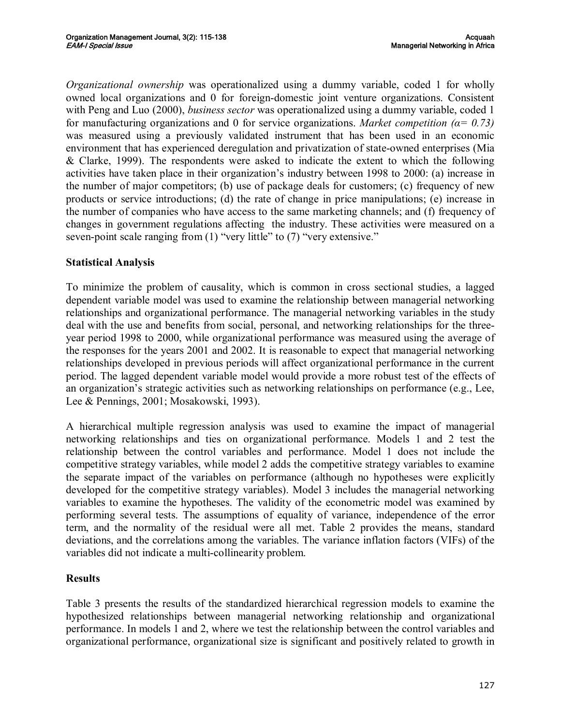*Organizational ownership* was operationalized using a dummy variable, coded 1 for wholly owned local organizations and 0 for foreign-domestic joint venture organizations. Consistent with Peng and Luo (2000), *business sector* was operationalized using a dummy variable, coded 1 for manufacturing organizations and 0 for service organizations. *Market competition* ( $\alpha$ = 0.73) was measured using a previously validated instrument that has been used in an economic environment that has experienced deregulation and privatization of state-owned enterprises (Mia & Clarke, 1999). The respondents were asked to indicate the extent to which the following activities have taken place in their organization's industry between 1998 to 2000: (a) increase in the number of major competitors; (b) use of package deals for customers; (c) frequency of new products or service introductions; (d) the rate of change in price manipulations; (e) increase in the number of companies who have access to the same marketing channels; and (f) frequency of changes in government regulations affecting the industry. These activities were measured on a seven-point scale ranging from  $(1)$  "very little" to  $(7)$  "very extensive."

# **Statistical Analysis**

To minimize the problem of causality, which is common in cross sectional studies, a lagged dependent variable model was used to examine the relationship between managerial networking relationships and organizational performance. The managerial networking variables in the study deal with the use and benefits from social, personal, and networking relationships for the three year period 1998 to 2000, while organizational performance was measured using the average of the responses for the years 2001 and 2002. It is reasonable to expect that managerial networking relationships developed in previous periods will affect organizational performance in the current period. The lagged dependent variable model would provide a more robust test of the effects of an organization's strategic activities such as networking relationships on performance (e.g., Lee, Lee & Pennings, 2001; Mosakowski, 1993).

A hierarchical multiple regression analysis was used to examine the impact of managerial networking relationships and ties on organizational performance. Models 1 and 2 test the relationship between the control variables and performance. Model 1 does not include the competitive strategy variables, while model 2 adds the competitive strategy variables to examine the separate impact of the variables on performance (although no hypotheses were explicitly developed for the competitive strategy variables). Model 3 includes the managerial networking variables to examine the hypotheses. The validity of the econometric model was examined by performing several tests. The assumptions of equality of variance, independence of the error term, and the normality of the residual were all met. Table 2 provides the means, standard deviations, and the correlations among the variables. The variance inflation factors (VIFs) of the variables did not indicate a multi-collinearity problem.

#### **Results**

Table 3 presents the results of the standardized hierarchical regression models to examine the hypothesized relationships between managerial networking relationship and organizational performance. In models 1 and 2, where we test the relationship between the control variables and organizational performance, organizational size is significant and positively related to growth in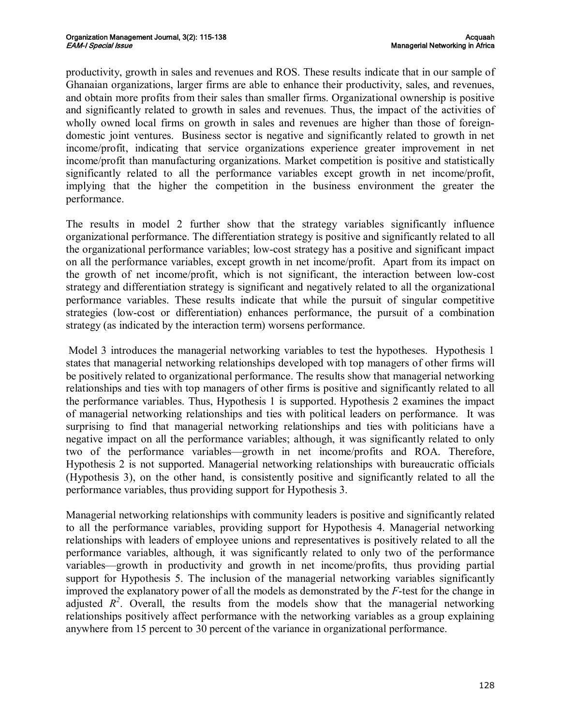productivity, growth in sales and revenues and ROS. These results indicate that in our sample of Ghanaian organizations, larger firms are able to enhance their productivity, sales, and revenues, and obtain more profits from their sales than smaller firms. Organizational ownership is positive and significantly related to growth in sales and revenues. Thus, the impact of the activities of wholly owned local firms on growth in sales and revenues are higher than those of foreigndomestic joint ventures. Business sector is negative and significantly related to growth in net income/profit, indicating that service organizations experience greater improvement in net income/profit than manufacturing organizations. Market competition is positive and statistically significantly related to all the performance variables except growth in net income/profit, implying that the higher the competition in the business environment the greater the performance.

The results in model 2 further show that the strategy variables significantly influence organizational performance. The differentiation strategy is positive and significantly related to all the organizational performance variables; low-cost strategy has a positive and significant impact on all the performance variables, except growth in net income/profit. Apart from itsimpact on the growth of net income/profit, which is not significant, the interaction between lowcost strategy and differentiation strategy is significant and negatively related to all the organizational performance variables. These results indicate that while the pursuit of singular competitive strategies (low-cost or differentiation) enhances performance, the pursuit of a combination strategy (as indicated by the interaction term) worsens performance.

Model 3 introduces the managerial networking variables to test the hypotheses. Hypothesis 1 states that managerial networking relationships developed with top managers of other firms will be positively related to organizational performance. The results show that managerial networking relationships and ties with top managers of other firms is positive and significantly related to all the performance variables. Thus, Hypothesis 1 is supported. Hypothesis 2 examines the impact of managerial networking relationships and ties with political leaders on performance. It was surprising to find that managerial networking relationships and ties with politicians have a negative impact on all the performance variables; although, it was significantly related to only two of the performance variables—growth in net income/profits and ROA. Therefore, Hypothesis 2 is not supported. Managerial networking relationships with bureaucratic officials (Hypothesis 3), on the other hand, is consistently positive and significantly related to all the performance variables, thus providing support for Hypothesis 3.

Managerial networking relationships with community leaders is positive and significantly related to all the performance variables, providing support for Hypothesis 4. Managerial networking relationships with leaders of employee unions and representatives is positively related to all the performance variables, although, it was significantly related to only two of the performance variables—growth in productivity and growth in net income/profits, thus providing partial support for Hypothesis 5. The inclusion of the managerial networking variables significantly improved the explanatory power of all the models as demonstrated by the *F*-test for the change in adjusted  $R^2$ . Overall, the results from the models show that the managerial networking relationships positively affect performance with the networking variables as a group explaining anywhere from 15 percent to 30 percent of the variance in organizational performance.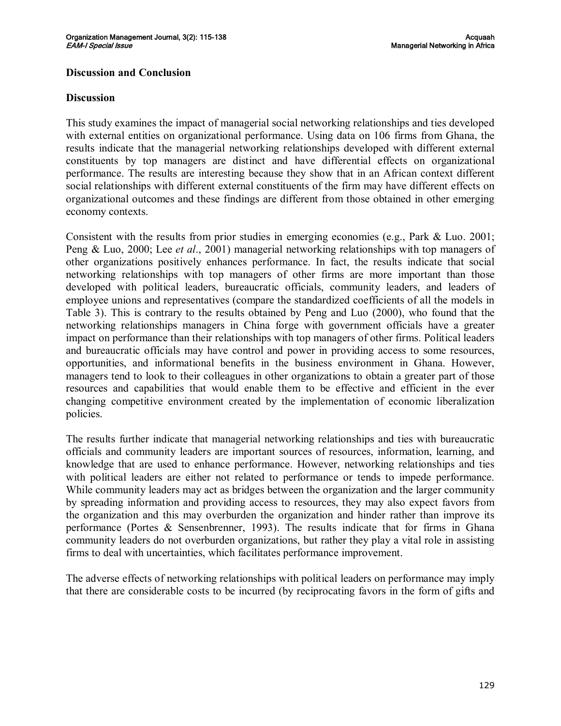#### **Discussion and Conclusion**

#### **Discussion**

This study examines the impact of managerial social networking relationships and ties developed with external entities on organizational performance. Using data on 106 firms from Ghana, the results indicate that the managerial networking relationships developed with different external constituents by top managers are distinct and have differential effects on organizational performance. The results are interesting because they show that in an African context different social relationships with different external constituents of the firm may have different effects on organizational outcomes and these findings are different from those obtained in other emerging economy contexts.

Consistent with the results from prior studies in emerging economies (e.g., Park & Luo. 2001; Peng & Luo, 2000; Lee *et al*., 2001) managerial networking relationships with top managers of other organizations positively enhances performance. In fact, the results indicate that social networking relationships with top managers of other firms are more important than those developed with political leaders, bureaucratic officials, community leaders, and leaders of employee unions and representatives (compare the standardized coefficients of all the models in Table 3). This is contrary to the results obtained by Peng and Luo (2000), who found that the networking relationships managers in China forge with government officials have a greater impact on performance than their relationships with top managers of other firms. Political leaders and bureaucratic officials may have control and power in providing access to some resources, opportunities, and informational benefits in the business environment in Ghana. However, managers tend to look to their colleagues in other organizations to obtain a greater part of those resources and capabilities that would enable them to be effective and efficient in the ever changing competitive environment created by the implementation of economic liberalization policies.

The results further indicate that managerial networking relationships and ties with bureaucratic officials and community leaders are important sources of resources, information, learning, and knowledge that are used to enhance performance. However, networking relationships and ties with political leaders are either not related to performance or tends to impede performance. While community leaders may act as bridges between the organization and the larger community by spreading information and providing access to resources, they may also expect favors from the organization and this may overburden the organization and hinder rather than improve its performance (Portes & Sensenbrenner, 1993). The results indicate that for firms in Ghana community leaders do not overburden organizations, but rather they play a vital role in assisting firms to deal with uncertainties, which facilitates performance improvement.

The adverse effects of networking relationships with political leaders on performance may imply that there are considerable costs to be incurred (by reciprocating favors in the form of gifts and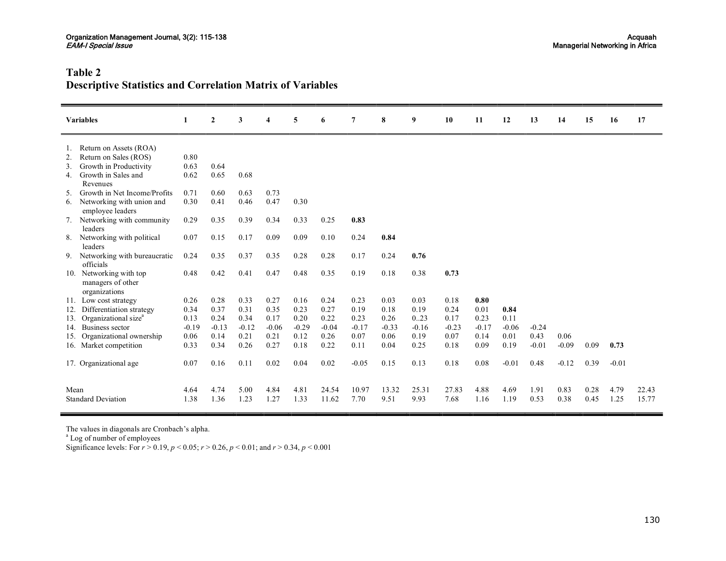# **Table 2 Descriptive Statistics and Correlation Matrix of Variables**

|                 | <b>Variables</b>                                          | 1       | $\overline{2}$ | 3       | 4       | 5       | 6       | 7       | 8       | 9       | 10      | 11      | 12      | 13      | 14      | 15   | 16      | 17    |
|-----------------|-----------------------------------------------------------|---------|----------------|---------|---------|---------|---------|---------|---------|---------|---------|---------|---------|---------|---------|------|---------|-------|
|                 | Return on Assets (ROA)                                    |         |                |         |         |         |         |         |         |         |         |         |         |         |         |      |         |       |
| 2.              | Return on Sales (ROS)                                     | 0.80    |                |         |         |         |         |         |         |         |         |         |         |         |         |      |         |       |
| 3.              | Growth in Productivity                                    | 0.63    | 0.64           |         |         |         |         |         |         |         |         |         |         |         |         |      |         |       |
| 4.              | Growth in Sales and                                       | 0.62    | 0.65           | 0.68    |         |         |         |         |         |         |         |         |         |         |         |      |         |       |
|                 | Revenues                                                  |         |                |         |         |         |         |         |         |         |         |         |         |         |         |      |         |       |
| 5.              | Growth in Net Income/Profits                              | 0.71    | 0.60           | 0.63    | 0.73    |         |         |         |         |         |         |         |         |         |         |      |         |       |
| 6.              | Networking with union and<br>employee leaders             | 0.30    | 0.41           | 0.46    | 0.47    | 0.30    |         |         |         |         |         |         |         |         |         |      |         |       |
| 7.              | Networking with community<br>leaders                      | 0.29    | 0.35           | 0.39    | 0.34    | 0.33    | 0.25    | 0.83    |         |         |         |         |         |         |         |      |         |       |
|                 | Networking with political<br>leaders                      | 0.07    | 0.15           | 0.17    | 0.09    | 0.09    | 0.10    | 0.24    | 0.84    |         |         |         |         |         |         |      |         |       |
| 9.              | Networking with bureaucratic<br>officials                 | 0.24    | 0.35           | 0.37    | 0.35    | 0.28    | 0.28    | 0.17    | 0.24    | 0.76    |         |         |         |         |         |      |         |       |
| 10.             | Networking with top<br>managers of other<br>organizations | 0.48    | 0.42           | 0.41    | 0.47    | 0.48    | 0.35    | 0.19    | 0.18    | 0.38    | 0.73    |         |         |         |         |      |         |       |
| 11.             | Low cost strategy                                         | 0.26    | 0.28           | 0.33    | 0.27    | 0.16    | 0.24    | 0.23    | 0.03    | 0.03    | 0.18    | 0.80    |         |         |         |      |         |       |
| 12.             | Differentiation strategy                                  | 0.34    | 0.37           | 0.31    | 0.35    | 0.23    | 0.27    | 0.19    | 0.18    | 0.19    | 0.24    | 0.01    | 0.84    |         |         |      |         |       |
| 13.             | Organizational size <sup>a</sup>                          | 0.13    | 0.24           | 0.34    | 0.17    | 0.20    | 0.22    | 0.23    | 0.26    | 0.23    | 0.17    | 0.23    | 0.11    |         |         |      |         |       |
| 14 <sup>1</sup> | Business sector                                           | $-0.19$ | $-0.13$        | $-0.12$ | $-0.06$ | $-0.29$ | $-0.04$ | $-0.17$ | $-0.33$ | $-0.16$ | $-0.23$ | $-0.17$ | $-0.06$ | $-0.24$ |         |      |         |       |
| 15.             | Organizational ownership                                  | 0.06    | 0.14           | 0.21    | 0.21    | 0.12    | 0.26    | 0.07    | 0.06    | 0.19    | 0.07    | 0.14    | 0.01    | 0.43    | 0.06    |      |         |       |
|                 | 16. Market competition                                    | 0.33    | 0.34           | 0.26    | 0.27    | 0.18    | 0.22    | 0.11    | 0.04    | 0.25    | 0.18    | 0.09    | 0.19    | $-0.01$ | $-0.09$ | 0.09 | 0.73    |       |
|                 | 17. Organizational age                                    | 0.07    | 0.16           | 0.11    | 0.02    | 0.04    | 0.02    | $-0.05$ | 0.15    | 0.13    | 0.18    | 0.08    | $-0.01$ | 0.48    | $-0.12$ | 0.39 | $-0.01$ |       |
| Mean            |                                                           | 4.64    | 4.74           | 5.00    | 4.84    | 4.81    | 24.54   | 10.97   | 13.32   | 25.31   | 27.83   | 4.88    | 4.69    | 1.91    | 0.83    | 0.28 | 4.79    | 22.43 |
|                 | <b>Standard Deviation</b>                                 | 1.38    | 1.36           | 1.23    | 1.27    | 1.33    | 11.62   | 7.70    | 9.51    | 9.93    | 7.68    | 1.16    | 1.19    | 0.53    | 0.38    | 0.45 | 1.25    | 15.77 |

The values in diagonals are Cronbach's alpha.<br><sup>a</sup> Log of number of employees

Significance levels: For *r* > 0.19, *p* < 0.05; *r* > 0.26, *p* < 0.01; and *r* > 0.34, *p* < 0.001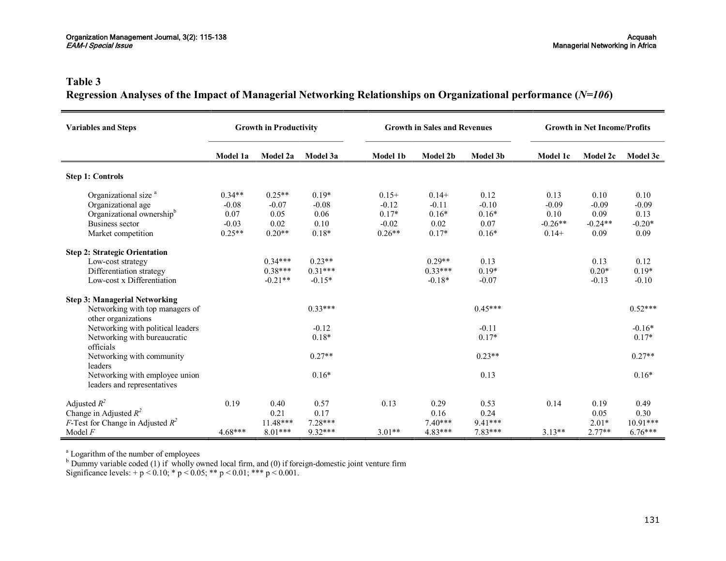# **Table 3 Regression Analyses of the Impact of Managerial Networking Relationships on Organizational performance (***N=106***)**

| <b>Variables and Steps</b>                                                                                                               | <b>Growth in Productivity</b>                      |                                                 |                                               |                                                      | <b>Growth in Sales and Revenues</b>              |                                               | <b>Growth in Net Income/Profits</b>             |                                              |                                             |  |
|------------------------------------------------------------------------------------------------------------------------------------------|----------------------------------------------------|-------------------------------------------------|-----------------------------------------------|------------------------------------------------------|--------------------------------------------------|-----------------------------------------------|-------------------------------------------------|----------------------------------------------|---------------------------------------------|--|
|                                                                                                                                          | Model 1a                                           | Model 2a                                        | Model 3a                                      | <b>Model 1b</b>                                      | Model 2b                                         | Model 3b                                      | Model 1c                                        | Model 2c                                     | Model 3c                                    |  |
| <b>Step 1: Controls</b>                                                                                                                  |                                                    |                                                 |                                               |                                                      |                                                  |                                               |                                                 |                                              |                                             |  |
| Organizational size <sup>a</sup><br>Organizational age<br>Organizational ownership <sup>b</sup><br>Business sector<br>Market competition | $0.34**$<br>$-0.08$<br>0.07<br>$-0.03$<br>$0.25**$ | $0.25**$<br>$-0.07$<br>0.05<br>0.02<br>$0.20**$ | $0.19*$<br>$-0.08$<br>0.06<br>0.10<br>$0.18*$ | $0.15+$<br>$-0.12$<br>$0.17*$<br>$-0.02$<br>$0.26**$ | $0.14+$<br>$-0.11$<br>$0.16*$<br>0.02<br>$0.17*$ | 0.12<br>$-0.10$<br>$0.16*$<br>0.07<br>$0.16*$ | 0.13<br>$-0.09$<br>0.10<br>$-0.26**$<br>$0.14+$ | 0.10<br>$-0.09$<br>0.09<br>$-0.24**$<br>0.09 | 0.10<br>$-0.09$<br>0.13<br>$-0.20*$<br>0.09 |  |
| <b>Step 2: Strategic Orientation</b><br>Low-cost strategy<br>Differentiation strategy<br>Low-cost x Differentiation                      |                                                    | $0.34***$<br>$0.38***$<br>$-0.21**$             | $0.23**$<br>$0.31***$<br>$-0.15*$             |                                                      | $0.29**$<br>$0.33***$<br>$-0.18*$                | 0.13<br>$0.19*$<br>$-0.07$                    |                                                 | 0.13<br>$0.20*$<br>$-0.13$                   | 0.12<br>$0.19*$<br>$-0.10$                  |  |
| <b>Step 3: Managerial Networking</b><br>Networking with top managers of<br>other organizations                                           |                                                    |                                                 | $0.33***$                                     |                                                      |                                                  | $0.45***$                                     |                                                 |                                              | $0.52***$                                   |  |
| Networking with political leaders<br>Networking with bureaucratic<br>officials                                                           |                                                    |                                                 | $-0.12$<br>$0.18*$                            |                                                      |                                                  | $-0.11$<br>$0.17*$                            |                                                 |                                              | $-0.16*$<br>$0.17*$                         |  |
| Networking with community<br>leaders                                                                                                     |                                                    |                                                 | $0.27**$                                      |                                                      |                                                  | $0.23**$                                      |                                                 |                                              | $0.27**$                                    |  |
| Networking with employee union<br>leaders and representatives                                                                            |                                                    |                                                 | $0.16*$                                       |                                                      |                                                  | 0.13                                          |                                                 |                                              | $0.16*$                                     |  |
| Adjusted $R^2$<br>Change in Adjusted $R^2$<br><i>F</i> -Test for Change in Adjusted $R^2$                                                | 0.19                                               | 0.40<br>0.21<br>$11.48***$                      | 0.57<br>0.17<br>7.28***                       | 0.13                                                 | 0.29<br>0.16<br>$7.40***$                        | 0.53<br>0.24<br>9.41***                       | 0.14                                            | 0.19<br>0.05<br>$2.01*$                      | 0.49<br>0.30<br>$10.91***$                  |  |
| Model $F$                                                                                                                                | $4.68***$                                          | 8.01***                                         | 9.32***                                       | $3.01**$                                             | 4.83***                                          | 7.83***                                       | $3.13**$                                        | $2.77**$                                     | $6.76***$                                   |  |

<sup>a</sup> Logarithm of the number of employees

 $b$  Dummy variable coded (1) if wholly owned local firm, and (0) if foreign-domestic joint venture firm

Significance levels:  $+p < 0.10$ ;  $\ast p < 0.05$ ;  $\ast \ast p < 0.01$ ;  $\ast \ast \ast p < 0.001$ .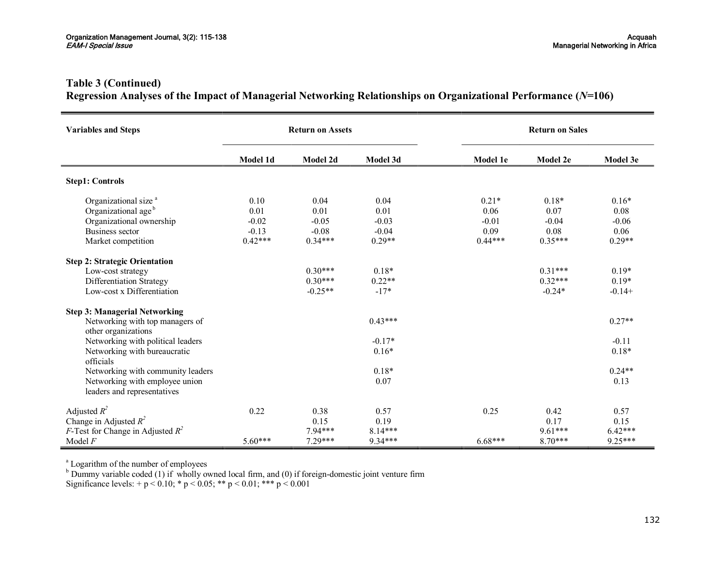# **Table 3 (Continued)**

# **Regression Analyses of the Impact of Managerial Networking Relationships on Organizational Performance (***N=***106)**

| <b>Variables and Steps</b>                                                                                                                      | <b>Return on Assets</b>                         |                                                 | <b>Return on Sales</b>                         |                                                 |                                                 |                                                |  |  |  |
|-------------------------------------------------------------------------------------------------------------------------------------------------|-------------------------------------------------|-------------------------------------------------|------------------------------------------------|-------------------------------------------------|-------------------------------------------------|------------------------------------------------|--|--|--|
|                                                                                                                                                 | Model 1d                                        | Model 2d                                        | Model 3d                                       | Model 1e                                        | Model 2e                                        | Model 3e                                       |  |  |  |
| <b>Step1: Controls</b>                                                                                                                          |                                                 |                                                 |                                                |                                                 |                                                 |                                                |  |  |  |
| Organizational size <sup>a</sup><br>Organizational age <sup>b</sup><br>Organizational ownership<br><b>Business sector</b><br>Market competition | 0.10<br>0.01<br>$-0.02$<br>$-0.13$<br>$0.42***$ | 0.04<br>0.01<br>$-0.05$<br>$-0.08$<br>$0.34***$ | 0.04<br>0.01<br>$-0.03$<br>$-0.04$<br>$0.29**$ | $0.21*$<br>0.06<br>$-0.01$<br>0.09<br>$0.44***$ | $0.18*$<br>0.07<br>$-0.04$<br>0.08<br>$0.35***$ | $0.16*$<br>0.08<br>$-0.06$<br>0.06<br>$0.29**$ |  |  |  |
| <b>Step 2: Strategic Orientation</b><br>Low-cost strategy<br>Differentiation Strategy<br>Low-cost x Differentiation                             |                                                 | $0.30***$<br>$0.30***$<br>$-0.25**$             | $0.18*$<br>$0.22**$<br>$-17*$                  |                                                 | $0.31***$<br>$0.32***$<br>$-0.24*$              | $0.19*$<br>$0.19*$<br>$-0.14+$                 |  |  |  |
| <b>Step 3: Managerial Networking</b><br>Networking with top managers of<br>other organizations                                                  |                                                 |                                                 | $0.43***$                                      |                                                 |                                                 | $0.27**$                                       |  |  |  |
| Networking with political leaders<br>Networking with bureaucratic<br>officials                                                                  |                                                 |                                                 | $-0.17*$<br>$0.16*$                            |                                                 |                                                 | $-0.11$<br>$0.18*$                             |  |  |  |
| Networking with community leaders<br>Networking with employee union<br>leaders and representatives                                              |                                                 |                                                 | $0.18*$<br>0.07                                |                                                 |                                                 | $0.24**$<br>0.13                               |  |  |  |
| Adjusted $R^2$<br>Change in Adjusted $R^2$<br><i>F</i> -Test for Change in Adjusted $R^2$<br>Model $F$                                          | 0.22<br>$5.60***$                               | 0.38<br>0.15<br>7.94***<br>7.29***              | 0.57<br>0.19<br>8.14***<br>9.34***             | 0.25<br>$6.68***$                               | 0.42<br>0.17<br>$9.61***$<br>$8.70***$          | 0.57<br>0.15<br>$6.42***$<br>$9.25***$         |  |  |  |

<sup>a</sup> Logarithm of the number of employees

 $b$  Dummy variable coded (1) if wholly owned local firm, and (0) if foreign-domestic joint venture firm

Significance levels:  $+p < 0.10$ ; \* p  $< 0.05$ ; \*\* p  $< 0.01$ ; \*\*\* p  $< 0.001$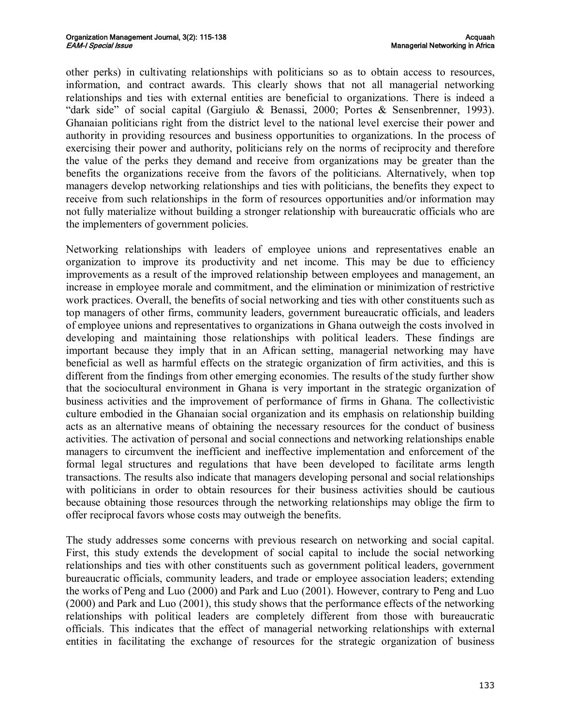other perks) in cultivating relationships with politicians so as to obtain access to resources, information, and contract awards. This clearly shows that not all managerial networking relationships and ties with external entities are beneficial to organizations. There is indeed a "dark side" of social capital (Gargiulo & Benassi, 2000; Portes & Sensenbrenner, 1993). Ghanaian politicians right from the district level to the national level exercise their power and authority in providing resources and business opportunities to organizations. In the process of exercising their power and authority, politicians rely on the norms of reciprocity and therefore the value of the perks they demand and receive from organizations may be greater than the benefits the organizations receive from the favors of the politicians. Alternatively, when top managers develop networking relationships and ties with politicians, the benefits they expect to receive from such relationships in the form of resources opportunities and/or information may not fully materialize without building a stronger relationship with bureaucratic officials who are the implementers of government policies.

Networking relationships with leaders of employee unions and representatives enable an organization to improve its productivity and net income. This may be due to efficiency improvements as a result of the improved relationship between employees and management, an increase in employee morale and commitment, and the elimination or minimization of restrictive work practices. Overall, the benefits of social networking and ties with other constituents such as top managers of other firms, community leaders, government bureaucratic officials, and leaders of employee unions and representatives to organizations in Ghana outweigh the costs involved in developing and maintaining those relationships with political leaders. These findings are important because they imply that in an African setting, managerial networking may have beneficial as well as harmful effects on the strategic organization of firm activities, and this is different from the findings from other emerging economies. The results of the study further show that the sociocultural environment in Ghana is very important in the strategic organization of business activities and the improvement of performance of firms in Ghana. The collectivistic culture embodied in the Ghanaian social organization and its emphasis on relationship building acts as an alternative means of obtaining the necessary resources for the conduct of business activities. The activation of personal and social connections and networking relationships enable managers to circumvent the inefficient and ineffective implementation and enforcement of the formal legal structures and regulations that have been developed to facilitate arms length transactions. The results also indicate that managers developing personal and social relationships with politicians in order to obtain resources for their business activities should be cautious because obtaining those resources through the networking relationships may oblige the firm to offer reciprocal favors whose costs may outweigh the benefits.

The study addresses some concerns with previous research on networking and social capital. First, this study extends the development of social capital to include the social networking relationships and ties with other constituents such as government political leaders, government bureaucratic officials, community leaders, and trade or employee association leaders; extending the works of Peng and Luo (2000) and Park and Luo (2001). However, contrary to Peng and Luo (2000) and Park and Luo (2001), this study shows that the performance effects of the networking relationships with political leaders are completely different from those with bureaucratic officials. This indicates that the effect of managerial networking relationships with external entities in facilitating the exchange of resources for the strategic organization of business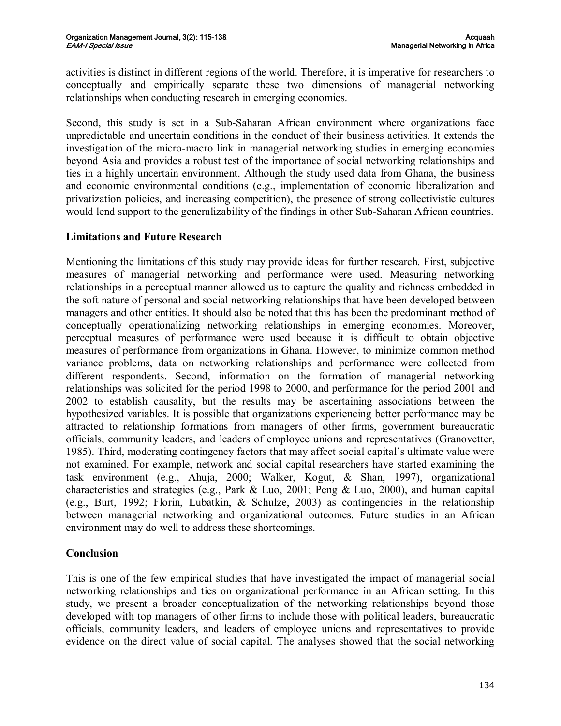activities is distinct in different regions of the world. Therefore, it is imperative for researchers to conceptually and empirically separate these two dimensions of managerial networking relationships when conducting research in emerging economies.

Second, this study is set in a Sub-Saharan African environment where organizations face unpredictable and uncertain conditions in the conduct of their business activities. It extends the investigation of the micro-macro link in managerial networking studies in emerging economies beyond Asia and provides a robust test of the importance of social networking relationships and ties in a highly uncertain environment. Although the study used data from Ghana, the business and economic environmental conditions (e.g., implementation of economic liberalization and privatization policies, and increasing competition), the presence of strong collectivistic cultures would lend support to the generalizability of the findings in other Sub-Saharan African countries.

# **Limitations and Future Research**

Mentioning the limitations of this study may provide ideas for further research. First, subjective measures of managerial networking and performance were used. Measuring networking relationships in a perceptual manner allowed us to capture the quality and richness embedded in the soft nature of personal and social networking relationships that have been developed between managers and other entities. It should also be noted that this has been the predominant method of conceptually operationalizing networking relationships in emerging economies. Moreover, perceptual measures of performance were used because it is difficult to obtain objective measures of performance from organizations in Ghana. However, to minimize common method variance problems, data on networking relationships and performance were collected from different respondents. Second, information on the formation of managerial networking relationships was solicited for the period 1998 to 2000, and performance for the period 2001 and 2002 to establish causality, but the results may be ascertaining associations between the hypothesized variables. It is possible that organizations experiencing better performance may be attracted to relationship formations from managers of other firms, government bureaucratic officials, community leaders, and leaders of employee unions and representatives (Granovetter, 1985). Third, moderating contingency factors that may affect social capital's ultimate value were not examined. For example, network and social capital researchers have started examining the task environment (e.g., Ahuja, 2000; Walker, Kogut, & Shan, 1997), organizational characteristics and strategies (e.g., Park & Luo, 2001; Peng & Luo, 2000), and human capital (e.g., Burt, 1992; Florin, Lubatkin, & Schulze, 2003) as contingencies in the relationship between managerial networking and organizational outcomes. Future studies in an African environment may do well to address these shortcomings.

# **Conclusion**

This is one of the few empirical studies that have investigated the impact of managerial social networking relationships and ties on organizational performance in an African setting. In this study, we present a broader conceptualization of the networking relationships beyond those developed with top managers of other firms to include those with political leaders, bureaucratic officials, community leaders, and leaders of employee unions and representatives to provide evidence on the direct value of social capital. The analyses showed that the social networking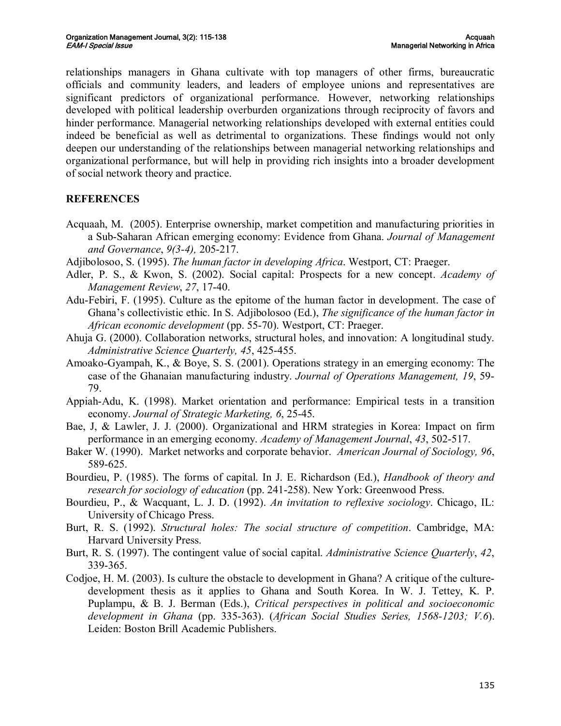relationships managers in Ghana cultivate with top managers of other firms, bureaucratic officials and community leaders, and leaders of employee unions and representatives are significant predictors of organizational performance. However, networking relationships developed with political leadership overburden organizations through reciprocity of favors and hinder performance. Managerial networking relationships developed with external entities could indeed be beneficial as well as detrimental to organizations. These findings would not only deepen our understanding of the relationships between managerial networking relationships and organizational performance, but will help in providing rich insights into a broader development of social network theory and practice.

# **REFERENCES**

- Acquaah, M. (2005). Enterprise ownership, market competition and manufacturing priorities in a Sub-Saharan African emerging economy: Evidence from Ghana. *Journal of Management and Governance*,  $9(3-4)$ , 205-217.
- Adjibolosoo, S. (1995). *The human factor in developing Africa*. Westport, CT: Praeger.
- Adler, P. S., & Kwon, S. (2002). Social capital: Prospects for a new concept. *Academy of Management Review, 27, 17-40.*
- Adu-Febiri, F. (1995). Culture as the epitome of the human factor in development. The case of Ghana's collectivistic ethic. In S. Adjibolosoo (Ed.), *The significance of the human factor in African economic development* (pp. 55-70). Westport, CT: Praeger.
- Ahuja G. (2000). Collaboration networks, structural holes, and innovation: A longitudinal study. *Administrative Science Quarterly, 45*, 425455.
- Amoako-Gyampah, K., & Boye, S. S. (2001). Operations strategy in an emerging economy: The case of the Ghanaian manufacturing industry. *Journal of Operations Management, 19*, 59 79.
- Appiah-Adu, K. (1998). Market orientation and performance: Empirical tests in a transition economy. *Journal of Strategic Marketing*, 6, 25-45.
- Bae, J, & Lawler, J. J. (2000). Organizational and HRM strategies in Korea: Impact on firm performance in an emerging economy. *Academy of Management Journal*, 43, 502-517.
- Baker W. (1990). Market networks and corporate behavior. *American Journal of Sociology, 96*, 589-625.
- Bourdieu, P. (1985). The forms of capital. In J. E. Richardson (Ed.), *Handbook of theory and research for sociology of education* (pp. 241258). New York: Greenwood Press.
- Bourdieu, P., & Wacquant, L. J. D. (1992). *An invitation to reflexive sociology*. Chicago, IL: University of Chicago Press.
- Burt, R. S. (1992). *Structural holes: The social structure of competition*. Cambridge, MA: Harvard University Press.
- Burt, R. S. (1997). The contingent value of social capital. *Administrative Science Quarterly*, *42*, 339-365.
- Codjoe, H. M. (2003). Is culture the obstacle to development in Ghana? A critique of the culture development thesis as it applies to Ghana and South Korea. In W. J. Tettey, K. P. Puplampu, & B. J. Berman (Eds.), *Critical perspectives in political and socioeconomic development in Ghana* (pp. 335363). (*African Social Studies Series, 15681203; V.6*). Leiden: Boston Brill Academic Publishers.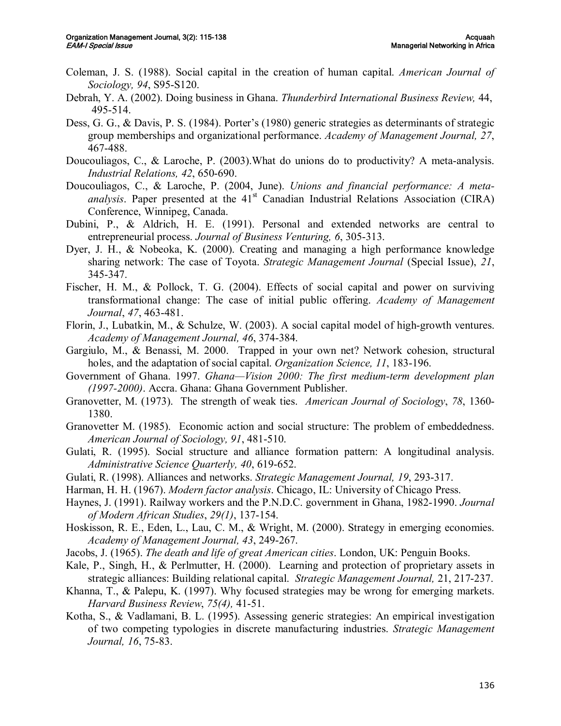- Coleman, J. S. (1988). Social capital in the creation of human capital. *American Journal of Sociology, 94, S95-S120.*
- Debrah, Y. A. (2002). Doing business in Ghana. *Thunderbird International Business Review,* 44, 495-514.
- Dess, G. G., & Davis, P. S. (1984). Porter's (1980) generic strategies as determinants of strategic group memberships and organizational performance. *Academy of Management Journal, 27*, 467488.
- Doucouliagos, C., & Laroche, P. (2003). What do unions do to productivity? A meta-analysis. *Industrial Relations, 42, 650-690.*
- Doucouliagos, C., & Laroche, P. (2004, June). *Unions and financial performance: A meta analysis*. Paper presented at the 41<sup>st</sup> Canadian Industrial Relations Association (CIRA) Conference, Winnipeg, Canada.
- Dubini, P., & Aldrich, H. E. (1991). Personal and extended networks are central to entrepreneurial process. *Journal of Business Venturing*, 6, 305-313.
- Dyer, J. H., & Nobeoka, K. (2000). Creating and managing a high performance knowledge sharing network: The case of Toyota. *Strategic Management Journal* (Special Issue), *21*, 345347.
- Fischer, H. M., & Pollock, T. G. (2004). Effects of social capital and power on surviving transformational change: The case of initial public offering. *Academy of Management Journal*, 47, 463-481.
- Florin, J., Lubatkin, M., & Schulze, W.  $(2003)$ . A social capital model of high-growth ventures. *Academy of Management Journal, 46*, 374384.
- Gargiulo, M., & Benassi, M. 2000. Trapped in your own net? Network cohesion, structural holes, and the adaptation of social capital. *Organization Science*, 11, 183-196.
- Government of Ghana. 1997. *Ghana—Vision 2000: The first medium-term development plan (19972000)*. Accra. Ghana: Ghana Government Publisher.
- Granovetter, M. (1973). The strength of weak ties. *American Journal of Sociology*, *78*, 1360 1380.
- Granovetter M. (1985). Economic action and social structure: The problem of embeddedness. *American Journal of Sociology, 91, 481-510.*
- Gulati, R. (1995). Social structure and alliance formation pattern: A longitudinal analysis. *Administrative Science Quarterly, 40, 619-652.*
- Gulati, R. (1998). Alliances and networks. *Strategic Management Journal*, 19, 293-317.
- Harman, H. H. (1967). *Modern factor analysis*. Chicago, IL: University of Chicago Press.
- Haynes, J. (1991). Railway workers and the P.N.D.C. government in Ghana, 1982-1990. *Journal of Modern African Studies, 29(1), 137-154.*
- Hoskisson, R. E., Eden, L., Lau, C. M., & Wright, M. (2000). Strategy in emerging economies. Academy of Management Journal, 43, 249-267.
- Jacobs, J. (1965). *The death and life of great American cities*. London, UK: Penguin Books.
- Kale, P., Singh, H., & Perlmutter, H. (2000). Learning and protection of proprietary assets in strategic alliances: Building relational capital. *Strategic Management Journal*, 21, 217-237.
- Khanna, T., & Palepu, K. (1997). Why focused strategies may be wrong for emerging markets. *Harvard Business Review, 75(4), 41-51.*
- Kotha, S., & Vadlamani, B. L. (1995). Assessing generic strategies: An empirical investigation of two competing typologies in discrete manufacturing industries. *Strategic Management Journal, 16, 75-83.*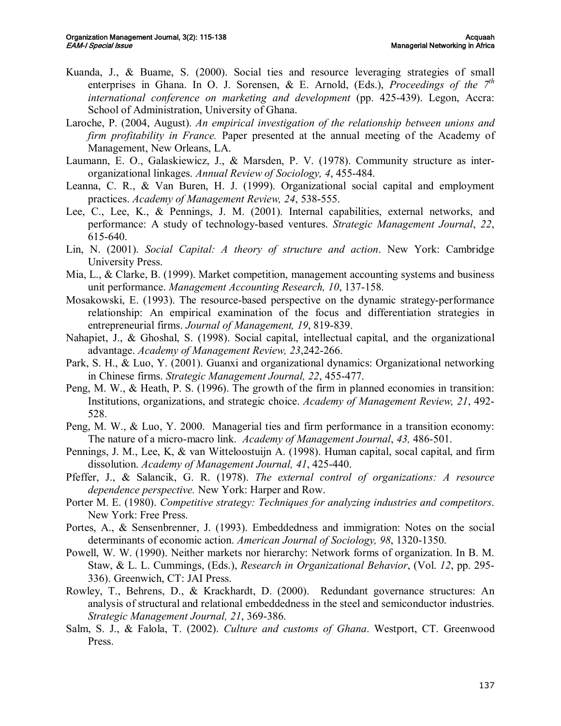- Kuanda, J., & Buame, S. (2000). Social ties and resource leveraging strategies of small enterprises in Ghana. In O. J. Sorensen,  $\&$  E. Arnold, (Eds.), *Proceedings of the*  $7<sup>th</sup>$ *international conference on marketing and development* (pp. 425439). Legon, Accra: School of Administration, University of Ghana.
- Laroche, P. (2004, August). *An empirical investigation of the relationship between unions and firm profitability in France.* Paper presented at the annual meeting of the Academy of Management, New Orleans, LA.
- Laumann, E. O., Galaskiewicz, J., & Marsden, P. V. (1978). Community structure as interorganizational linkages. *Annual Review of Sociology*, 4, 455-484.
- Leanna, C. R., & Van Buren, H. J. (1999). Organizational social capital and employment practices. *Academy of Management Review, 24, 538-555.*
- Lee, C., Lee, K., & Pennings, J. M. (2001). Internal capabilities, external networks, and performance: A study of technologybased ventures. *Strategic Management Journal*, *22*, 615-640.
- Lin, N. (2001). *Social Capital: A theory of structure and action*. New York: Cambridge University Press.
- Mia, L., & Clarke, B. (1999). Market competition, management accounting systems and business unit performance. *Management Accounting Research, 10*, 137-158.
- Mosakowski, E. (1993). The resource-based perspective on the dynamic strategy-performance relationship: An empirical examination of the focus and differentiation strategies in entrepreneurial firms. *Journal of Management*, 19, 819-839.
- Nahapiet, J., & Ghoshal, S. (1998). Social capital, intellectual capital, and the organizational advantage. *Academy of Management Review, 23,242-266.*
- Park, S. H., & Luo, Y. (2001). Guanxi and organizational dynamics: Organizational networking in Chinese firms. *Strategic Management Journal*, 22, 455-477.
- Peng, M. W., & Heath, P. S. (1996). The growth of the firm in planned economies in transition: Institutions, organizations, and strategic choice. *Academy of Management Review, 21*, 492 528.
- Peng, M. W., & Luo, Y. 2000. Managerial ties and firm performance in a transition economy: The nature of a micro-macro link. *Academy of Management Journal*, 43, 486-501.
- Pennings, J. M., Lee, K, & van Witteloostuijn A. (1998). Human capital, socal capital, and firm dissolution. *Academy of Management Journal*, 41, 425-440.
- Pfeffer, J., & Salancik, G. R. (1978). *The external control of organizations: A resource dependence perspective.* New York: Harper and Row.
- Porter M. E. (1980). *Competitive strategy: Techniques for analyzing industries and competitors*. New York: Free Press.
- Portes, A., & Sensenbrenner, J. (1993). Embeddedness and immigration: Notes on the social determinants of economic action. *American Journal of Sociology*, 98, 1320-1350.
- Powell, W. W. (1990). Neither markets nor hierarchy: Network forms of organization. In B. M. Staw, & L. L. Cummings, (Eds.), *Research in Organizational Behavior*, (Vol. *12*, pp. 295 336). Greenwich, CT: JAI Press.
- Rowley, T., Behrens, D., & Krackhardt, D. (2000). Redundant governance structures: An analysis of structural and relational embeddedness in the steel and semiconductor industries. *Strategic Management Journal, 21, 369-386.*
- Salm, S. J., & Falola, T. (2002). *Culture and customs of Ghana*. Westport, CT. Greenwood Press.